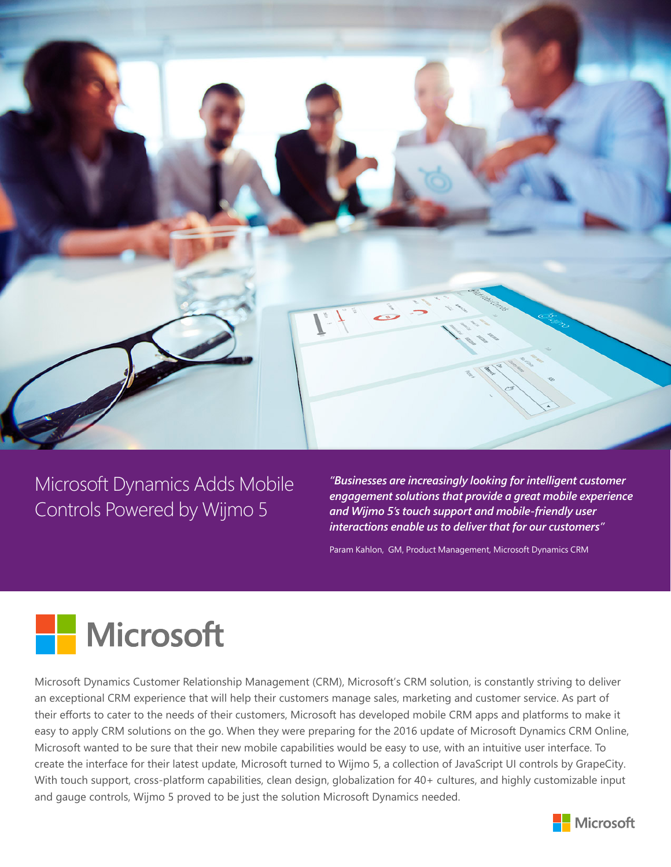

Microsoft Dynamics Adds Mobile Controls Powered by Wijmo 5

*"Businesses are increasingly looking for intelligent customer engagement solutions that provide a great mobile experience and Wijmo 5's touch support and mobile-friendly user interactions enable us to deliver that for our customers"*

Param Kahlon, GM, Product Management, Microsoft Dynamics CRM



Microsoft Dynamics Customer Relationship Management (CRM), Microsoft's CRM solution, is constantly striving to deliver an exceptional CRM experience that will help their customers manage sales, marketing and customer service. As part of their efforts to cater to the needs of their customers, Microsoft has developed mobile CRM apps and platforms to make it easy to apply CRM solutions on the go. When they were preparing for the 2016 update of Microsoft Dynamics CRM Online, Microsoft wanted to be sure that their new mobile capabilities would be easy to use, with an intuitive user interface. To create the interface for their latest update, Microsoft turned to Wijmo 5, a collection of JavaScript UI controls by GrapeCity. With touch support, cross-platform capabilities, clean design, globalization for 40+ cultures, and highly customizable input and gauge controls, Wijmo 5 proved to be just the solution Microsoft Dynamics needed.

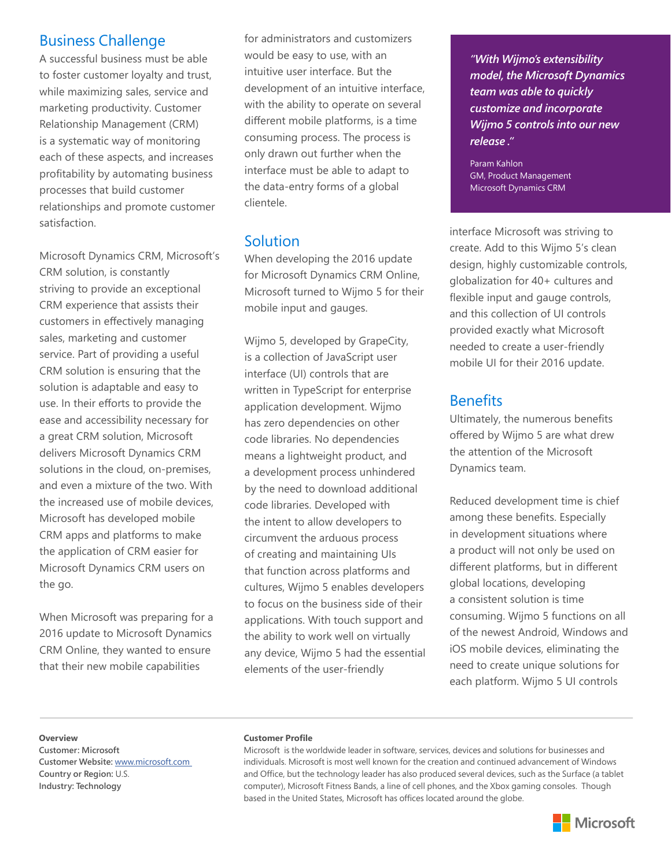# Business Challenge

A successful business must be able to foster customer loyalty and trust, while maximizing sales, service and marketing productivity. Customer Relationship Management (CRM) is a systematic way of monitoring each of these aspects, and increases profitability by automating business processes that build customer relationships and promote customer satisfaction.

Microsoft Dynamics CRM, Microsoft's CRM solution, is constantly striving to provide an exceptional CRM experience that assists their customers in effectively managing sales, marketing and customer service. Part of providing a useful CRM solution is ensuring that the solution is adaptable and easy to use. In their efforts to provide the ease and accessibility necessary for a great CRM solution, Microsoft delivers Microsoft Dynamics CRM solutions in the cloud, on-premises, and even a mixture of the two. With the increased use of mobile devices, Microsoft has developed mobile CRM apps and platforms to make the application of CRM easier for Microsoft Dynamics CRM users on the go.

When Microsoft was preparing for a 2016 update to Microsoft Dynamics CRM Online, they wanted to ensure that their new mobile capabilities

for administrators and customizers would be easy to use, with an intuitive user interface. But the development of an intuitive interface, with the ability to operate on several different mobile platforms, is a time consuming process. The process is only drawn out further when the interface must be able to adapt to the data-entry forms of a global clientele.

# Solution

When developing the 2016 update for Microsoft Dynamics CRM Online, Microsoft turned to Wijmo 5 for their mobile input and gauges.

Wijmo 5, developed by GrapeCity, is a collection of JavaScript user interface (UI) controls that are written in TypeScript for enterprise application development. Wijmo has zero dependencies on other code libraries. No dependencies means a lightweight product, and a development process unhindered by the need to download additional code libraries. Developed with the intent to allow developers to circumvent the arduous process of creating and maintaining UIs that function across platforms and cultures, Wijmo 5 enables developers to focus on the business side of their applications. With touch support and the ability to work well on virtually any device, Wijmo 5 had the essential elements of the user-friendly

*"With Wijmo's extensibility model, the Microsoft Dynamics team was able to quickly customize and incorporate Wijmo 5 controls into our new release ."*

Param Kahlon GM, Product Management Microsoft Dynamics CRM

interface Microsoft was striving to create. Add to this Wijmo 5's clean design, highly customizable controls, globalization for 40+ cultures and flexible input and gauge controls, and this collection of UI controls provided exactly what Microsoft needed to create a user-friendly mobile UI for their 2016 update.

### **Benefits**

Ultimately, the numerous benefits offered by Wijmo 5 are what drew the attention of the Microsoft Dynamics team.

Reduced development time is chief among these benefits. Especially in development situations where a product will not only be used on different platforms, but in different global locations, developing a consistent solution is time consuming. Wijmo 5 functions on all of the newest Android, Windows and iOS mobile devices, eliminating the need to create unique solutions for each platform. Wijmo 5 UI controls

### **Overview**

**Customer: Microsoft Customer Website:** [www.microsoft.com](http://www.microsoft.com) **Country or Region:** U.S. **Industry: Technology**

### **Customer Profile**

Microsoft is the worldwide leader in software, services, devices and solutions for businesses and individuals. Microsoft is most well known for the creation and continued advancement of Windows and Office, but the technology leader has also produced several devices, such as the Surface (a tablet computer), Microsoft Fitness Bands, a line of cell phones, and the Xbox gaming consoles. Though based in the United States, Microsoft has offices located around the globe.